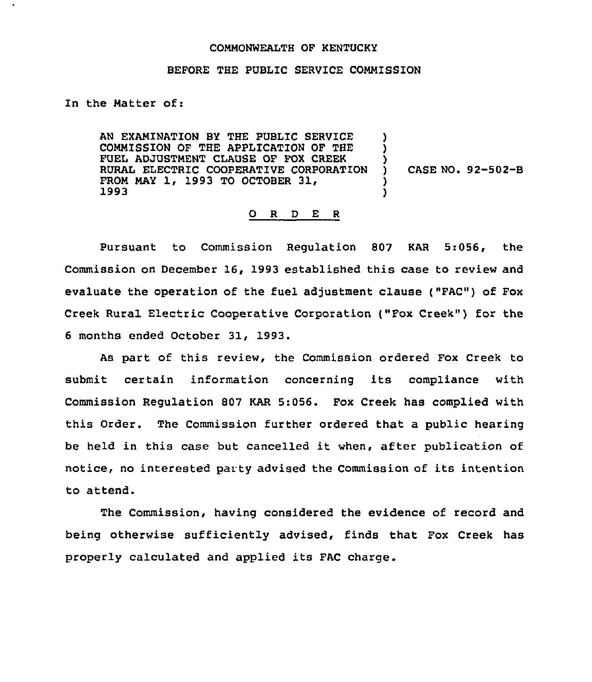## COMMONWEALTH OF KENTUCKY

## BEFORE THE PUBLIC SERVICE COMMISSION

## In the Matter of:

AN EXAMINATION BY THE PUBLIC SERVICE COMMISSION OF THE APPLICATION OF THE FUEL ADJUSTMENT CLAUSE OF FOX CREEK RURAL ELECTRIC COOPERATIVE CORPORATION FROM MAY 1, 1993 TO OCTOBER 31, 1993 ) ) ) ) )

) CASE NO. 92-502-B

## 0 <sup>R</sup> <sup>D</sup> E <sup>R</sup>

Pursuant to Commission Regulation 807 KAR 5:056, the Commission on December 16, 1993 established this case to review and evaluate the operation of the fuel adjustment clause ("FAC") of Fox Creek Rural Electric Cooperative Corporation ("Fox Creek" ) for the <sup>6</sup> months ended October 31, 1993.

As part of this review, the Commission ordered Fox Creek to submit certain information concerning its compliance with Commission Regulation 807 KAR 5:056. Fox Creek has complied with this Order. The Commission further ordered that a public hearing be held in this case but cancelled it when, after publication of notice, no interested party advised the Commission of its intention to attend.

The Commission, having considered the evidence of record and being otherwise sufficiently advised, finds that Fox Creek has properly calculated and applied its FAC charge.